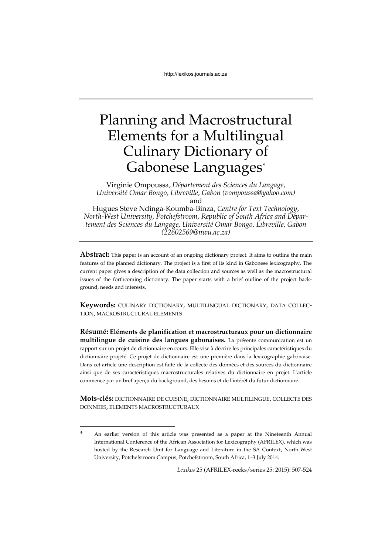# Planning and Macrostructural Elements for a Multilingual Culinary Dictionary of Gabonese Languages\*

Virginie Ompoussa, *Département des Sciences du Langage, Université Omar Bongo, Libreville, Gabon (vompoussa@yahoo.com)* and

Hugues Steve Ndinga-Koumba-Binza, *Centre for Text Technology, North-West University, Potchefstroom, Republic of South Africa and Département des Sciences du Langage, Université Omar Bongo, Libreville, Gabon (22602569@nwu.ac.za)*

Abstract: This paper is an account of an ongoing dictionary project. It aims to outline the main features of the planned dictionary. The project is a first of its kind in Gabonese lexicography. The current paper gives a description of the data collection and sources as well as the macrostructural issues of the forthcoming dictionary. The paper starts with a brief outline of the project background, needs and interests.

**Keywords:** CULINARY DICTIONARY, MULTILINGUAL DICTIONARY, DATA COLLEC-TION, MACROSTRUCTURAL ELEMENTS

**Résumé: Eléments de planification et macrostructuraux pour un dictionnaire multilingue de cuisine des langues gabonaises.** La présente communication est un rapport sur un projet de dictionnaire en cours. Elle vise à décrire les principales caractéristiques du dictionnaire projeté. Ce projet de dictionnaire est une première dans la lexicographie gabonaise. Dans cet article une description est faite de la collecte des données et des sources du dictionnaire ainsi que de ses caractéristiques macrostructurales relatives du dictionnaire en projet. L'article commence par un bref aperçu du background, des besoins et de l'intérêt du futur dictionnaire.

**Mots-clés:** DICTIONNAIRE DE CUISINE, DICTIONNAIRE MULTILINGUE, COLLECTE DES DONNEES, ELEMENTS MACROSTRUCTURAUX

1

*Lexikos* 25 (AFRILEX-reeks/series 25: 2015): 507-524

An earlier version of this article was presented as a paper at the Nineteenth Annual International Conference of the African Association for Lexicography (AFRILEX), which was hosted by the Research Unit for Language and Literature in the SA Context, North-West University, Potchefstroom Campus, Potchefstroom, South Africa, 1–3 July 2014.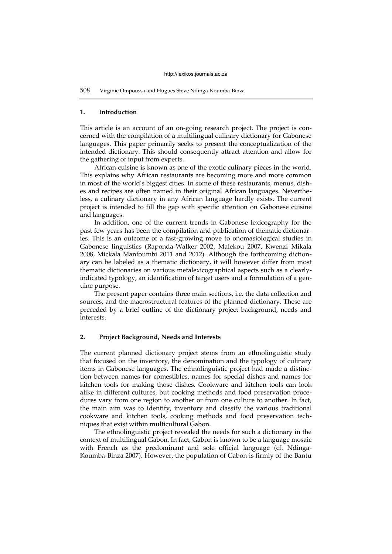## **1. Introduction**

This article is an account of an on-going research project. The project is concerned with the compilation of a multilingual culinary dictionary for Gabonese languages. This paper primarily seeks to present the conceptualization of the intended dictionary. This should consequently attract attention and allow for the gathering of input from experts.

African cuisine is known as one of the exotic culinary pieces in the world. This explains why African restaurants are becoming more and more common in most of the world's biggest cities. In some of these restaurants, menus, dishes and recipes are often named in their original African languages. Nevertheless, a culinary dictionary in any African language hardly exists. The current project is intended to fill the gap with specific attention on Gabonese cuisine and languages.

In addition, one of the current trends in Gabonese lexicography for the past few years has been the compilation and publication of thematic dictionaries. This is an outcome of a fast-growing move to onomasiological studies in Gabonese linguistics (Raponda-Walker 2002, Malekou 2007, Kwenzi Mikala 2008, Mickala Manfoumbi 2011 and 2012). Although the forthcoming dictionary can be labeled as a thematic dictionary, it will however differ from most thematic dictionaries on various metalexicographical aspects such as a clearlyindicated typology, an identification of target users and a formulation of a genuine purpose.

The present paper contains three main sections, i.e. the data collection and sources, and the macrostructural features of the planned dictionary. These are preceded by a brief outline of the dictionary project background, needs and interests.

# **2. Project Background, Needs and Interests**

The current planned dictionary project stems from an ethnolinguistic study that focused on the inventory, the denomination and the typology of culinary items in Gabonese languages. The ethnolinguistic project had made a distinction between names for comestibles, names for special dishes and names for kitchen tools for making those dishes. Cookware and kitchen tools can look alike in different cultures, but cooking methods and food preservation procedures vary from one region to another or from one culture to another. In fact, the main aim was to identify, inventory and classify the various traditional cookware and kitchen tools, cooking methods and food preservation techniques that exist within multicultural Gabon.

The ethnolinguistic project revealed the needs for such a dictionary in the context of multilingual Gabon. In fact, Gabon is known to be a language mosaic with French as the predominant and sole official language (cf. Ndinga-Koumba-Binza 2007). However, the population of Gabon is firmly of the Bantu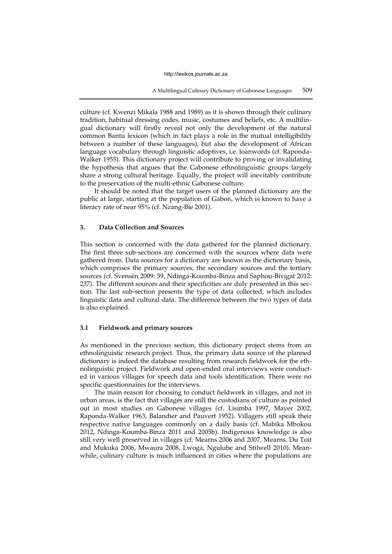A Multilingual Culinary Dictionary of Gabonese Languages 509

culture (cf. Kwenzi Mikala 1988 and 1989) as it is shown through their culinary tradition, habitual dressing codes, music, costumes and beliefs, etc. A multilingual dictionary will firstly reveal not only the development of the natural common Bantu lexicon (which in fact plays a role in the mutual intelligibility between a number of these languages), but also the development of African language vocabulary through linguistic adoptives, i.e. loanwords (cf. Raponda-Walker 1955). This dictionary project will contribute to proving or invalidating the hypothesis that argues that the Gabonese ethnolinguistic groups largely share a strong cultural heritage. Equally, the project will inevitably contribute to the preservation of the multi-ethnic Gabonese culture.

It should be noted that the target users of the planned dictionary are the public at large, starting at the population of Gabon, which is known to have a literacy rate of near 95% (cf. Nzang-Bie 2001).

# **3. Data Collection and Sources**

This section is concerned with the data gathered for the planned dictionary. The first three sub-sections are concerned with the sources where data were gathered from. Data sources for a dictionary are known as the dictionary basis, which comprises the primary sources, the secondary sources and the tertiary sources (cf. Svensén 2009: 39, Ndinga-Koumba-Binza and Saphou-Bivigat 2012: 237). The different sources and their specificities are duly presented in this section. The last sub-section presents the type of data collected, which includes linguistic data and cultural data. The difference between the two types of data is also explained.

## **3.1 Fieldwork and primary sources**

As mentioned in the previous section, this dictionary project stems from an ethnolinguistic research project. Thus, the primary data source of the planned dictionary is indeed the database resulting from research fieldwork for the ethnolinguistic project. Fieldwork and open-ended oral interviews were conducted in various villages for speech data and tools identification. There were no specific questionnaires for the interviews.

The main reason for choosing to conduct fieldwork in villages, and not in urban areas, is the fact that villages are still the custodians of culture as pointed out in most studies on Gabonese villages (cf. Lisimba 1997, Mayer 2002, Raponda-Walker 1963, Balandier and Pauvert 1952). Villagers still speak their respective native languages commonly on a daily basis (cf. Mabika Mbokou 2012, Ndinga-Koumba-Binza 2011 and 2005b). Indigenous knowledge is also still very well preserved in villages (cf. Mearns 2006 and 2007, Mearns, Du Toit and Mukuka 2006, Mwaura 2008, Lwoga, Ngulube and Stilwell 2010). Meanwhile, culinary culture is much influenced in cities where the populations are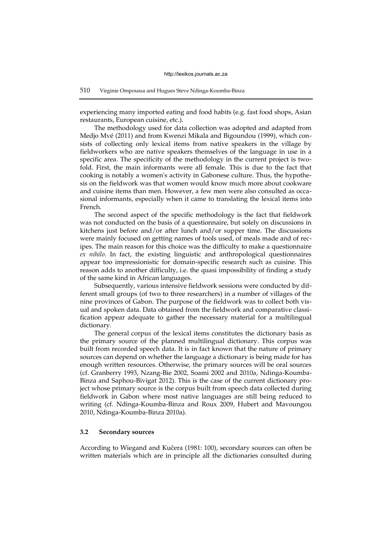## 510 Virginie Ompoussa and Hugues Steve Ndinga-Koumba-Binza

experiencing many imported eating and food habits (e.g. fast food shops, Asian restaurants, European cuisine, etc.).

The methodology used for data collection was adopted and adapted from Medjo Mvé (2011) and from Kwenzi Mikala and Bigoundou (1999), which consists of collecting only lexical items from native speakers in the village by fieldworkers who are native speakers themselves of the language in use in a specific area. The specificity of the methodology in the current project is twofold. First, the main informants were all female. This is due to the fact that cooking is notably a women's activity in Gabonese culture. Thus, the hypothesis on the fieldwork was that women would know much more about cookware and cuisine items than men. However, a few men were also consulted as occasional informants, especially when it came to translating the lexical items into French.

The second aspect of the specific methodology is the fact that fieldwork was not conducted on the basis of a questionnaire, but solely on discussions in kitchens just before and/or after lunch and/or supper time. The discussions were mainly focused on getting names of tools used, of meals made and of recipes. The main reason for this choice was the difficulty to make a questionnaire *ex nihilo*. In fact, the existing linguistic and anthropological questionnaires appear too impressionistic for domain-specific research such as cuisine. This reason adds to another difficulty, i.e. the quasi impossibility of finding a study of the same kind in African languages.

Subsequently, various intensive fieldwork sessions were conducted by different small groups (of two to three researchers) in a number of villages of the nine provinces of Gabon. The purpose of the fieldwork was to collect both visual and spoken data. Data obtained from the fieldwork and comparative classification appear adequate to gather the necessary material for a multilingual dictionary.

The general corpus of the lexical items constitutes the dictionary basis as the primary source of the planned multilingual dictionary. This corpus was built from recorded speech data. It is in fact known that the nature of primary sources can depend on whether the language a dictionary is being made for has enough written resources. Otherwise, the primary sources will be oral sources (cf. Granberry 1993, Nzang-Bie 2002, Soami 2002 and 2010a, Ndinga-Koumba-Binza and Saphou-Bivigat 2012). This is the case of the current dictionary project whose primary source is the corpus built from speech data collected during fieldwork in Gabon where most native languages are still being reduced to writing (cf. Ndinga-Koumba-Binza and Roux 2009, Hubert and Mavoungou 2010, Ndinga-Koumba-Binza 2010a).

# **3.2 Secondary sources**

According to Wiegand and Kučera (1981: 100), secondary sources can often be written materials which are in principle all the dictionaries consulted during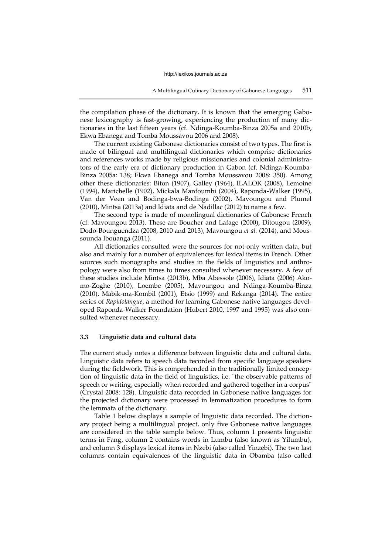the compilation phase of the dictionary. It is known that the emerging Gabonese lexicography is fast-growing, experiencing the production of many dictionaries in the last fifteen years (cf. Ndinga-Koumba-Binza 2005a and 2010b, Ekwa Ebanega and Tomba Moussavou 2006 and 2008).

The current existing Gabonese dictionaries consist of two types. The first is made of bilingual and multilingual dictionaries which comprise dictionaries and references works made by religious missionaries and colonial administrators of the early era of dictionary production in Gabon (cf. Ndinga-Koumba-Binza 2005a: 138; Ekwa Ebanega and Tomba Moussavou 2008: 350). Among other these dictionaries: Biton (1907), Galley (1964), ILALOK (2008), Lemoine (1994), Marichelle (1902), Mickala Manfoumbi (2004), Raponda-Walker (1995), Van der Veen and Bodinga-bwa-Bodinga (2002), Mavoungou and Plumel (2010), Mintsa (2013a) and Idiata and de Nadillac (2012) to name a few.

The second type is made of monolingual dictionaries of Gabonese French (cf. Mavoungou 2013). These are Boucher and Lafage (2000), Ditougou (2009), Dodo-Bounguendza (2008, 2010 and 2013), Mavoungou *et al.* (2014), and Moussounda Ibouanga (2011).

All dictionaries consulted were the sources for not only written data, but also and mainly for a number of equivalences for lexical items in French. Other sources such monographs and studies in the fields of linguistics and anthropology were also from times to times consulted whenever necessary. A few of these studies include Mintsa (2013b), Mba Abessole (2006), Idiata (2006) Akomo-Zoghe (2010), Loembe (2005), Mavoungou and Ndinga-Koumba-Binza (2010), Mabik-ma-Kombil (2001), Etsio (1999) and Rekanga (2014). The entire series of *Rapidolangue*, a method for learning Gabonese native languages developed Raponda-Walker Foundation (Hubert 2010, 1997 and 1995) was also consulted whenever necessary.

## **3.3 Linguistic data and cultural data**

The current study notes a difference between linguistic data and cultural data. Linguistic data refers to speech data recorded from specific language speakers during the fieldwork. This is comprehended in the traditionally limited conception of linguistic data in the field of linguistics, i.e. "the observable patterns of speech or writing, especially when recorded and gathered together in a corpus" (Crystal 2008: 128). Linguistic data recorded in Gabonese native languages for the projected dictionary were processed in lemmatization procedures to form the lemmata of the dictionary.

Table 1 below displays a sample of linguistic data recorded. The dictionary project being a multilingual project, only five Gabonese native languages are considered in the table sample below. Thus, column 1 presents linguistic terms in Fang, column 2 contains words in Lumbu (also known as Yilumbu), and column 3 displays lexical items in Nzebi (also called Yinzebi). The two last columns contain equivalences of the linguistic data in Obamba (also called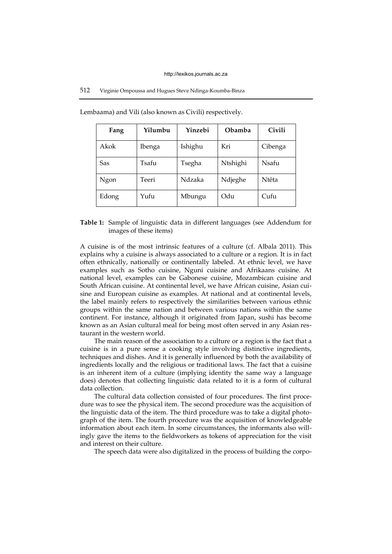# 512 Virginie Ompoussa and Hugues Steve Ndinga-Koumba-Binza

| Fang  | Yilumbu | Yinzebi | <b>Obamba</b> | Civili  |
|-------|---------|---------|---------------|---------|
| Akok  | Ibenga  | Ishighu | Kri           | Cibenga |
| Sas   | Tsafu   | Tsegha  | Ntshighi      | Nsafu   |
| Ngon  | Teeri   | Ndzaka  | Ndjeghe       | Ntêta   |
| Edong | Yufu    | Mbungu  | Odu           | Cufu    |

Lembaama) and Vili (also known as Civili) respectively.

# **Table 1:** Sample of linguistic data in different languages (see Addendum for images of these items)

A cuisine is of the most intrinsic features of a culture (cf. Albala 2011). This explains why a cuisine is always associated to a culture or a region. It is in fact often ethnically, nationally or continentally labeled. At ethnic level, we have examples such as Sotho cuisine, Nguni cuisine and Afrikaans cuisine. At national level, examples can be Gabonese cuisine, Mozambican cuisine and South African cuisine. At continental level, we have African cuisine, Asian cuisine and European cuisine as examples. At national and at continental levels, the label mainly refers to respectively the similarities between various ethnic groups within the same nation and between various nations within the same continent. For instance, although it originated from Japan, sushi has become known as an Asian cultural meal for being most often served in any Asian restaurant in the western world.

The main reason of the association to a culture or a region is the fact that a cuisine is in a pure sense a cooking style involving distinctive ingredients, techniques and dishes. And it is generally influenced by both the availability of ingredients locally and the religious or traditional laws. The fact that a cuisine is an inherent item of a culture (implying identity the same way a language does) denotes that collecting linguistic data related to it is a form of cultural data collection.

The cultural data collection consisted of four procedures. The first procedure was to see the physical item. The second procedure was the acquisition of the linguistic data of the item. The third procedure was to take a digital photograph of the item. The fourth procedure was the acquisition of knowledgeable information about each item. In some circumstances, the informants also willingly gave the items to the fieldworkers as tokens of appreciation for the visit and interest on their culture.

The speech data were also digitalized in the process of building the corpo-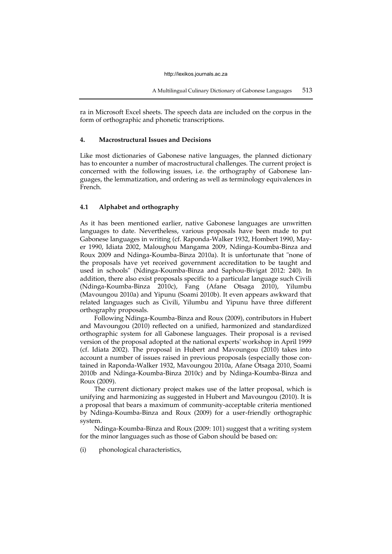ra in Microsoft Excel sheets. The speech data are included on the corpus in the form of orthographic and phonetic transcriptions.

# **4. Macrostructural Issues and Decisions**

Like most dictionaries of Gabonese native languages, the planned dictionary has to encounter a number of macrostructural challenges. The current project is concerned with the following issues, i.e. the orthography of Gabonese languages, the lemmatization, and ordering as well as terminology equivalences in French.

# **4.1 Alphabet and orthography**

As it has been mentioned earlier, native Gabonese languages are unwritten languages to date. Nevertheless, various proposals have been made to put Gabonese languages in writing (cf. Raponda-Walker 1932, Hombert 1990, Mayer 1990, Idiata 2002, Maloughou Mangama 2009, Ndinga-Koumba-Binza and Roux 2009 and Ndinga-Koumba-Binza 2010a). It is unfortunate that "none of the proposals have yet received government accreditation to be taught and used in schools" (Ndinga-Koumba-Binza and Saphou-Bivigat 2012: 240). In addition, there also exist proposals specific to a particular language such Civili (Ndinga-Koumba-Binza 2010c), Fang (Afane Otsaga 2010), Yilumbu (Mavoungou 2010a) and Yipunu (Soami 2010b). It even appears awkward that related languages such as Civili, Yilumbu and Yipunu have three different orthography proposals.

Following Ndinga-Koumba-Binza and Roux (2009), contributors in Hubert and Mavoungou (2010) reflected on a unified, harmonized and standardized orthographic system for all Gabonese languages. Their proposal is a revised version of the proposal adopted at the national experts' workshop in April 1999 (cf. Idiata 2002). The proposal in Hubert and Mavoungou (2010) takes into account a number of issues raised in previous proposals (especially those contained in Raponda-Walker 1932, Mavoungou 2010a, Afane Otsaga 2010, Soami 2010b and Ndinga-Koumba-Binza 2010c) and by Ndinga-Koumba-Binza and Roux (2009).

The current dictionary project makes use of the latter proposal, which is unifying and harmonizing as suggested in Hubert and Mavoungou (2010). It is a proposal that bears a maximum of community-acceptable criteria mentioned by Ndinga-Koumba-Binza and Roux (2009) for a user-friendly orthographic system.

Ndinga-Koumba-Binza and Roux (2009: 101) suggest that a writing system for the minor languages such as those of Gabon should be based on:

(i) phonological characteristics,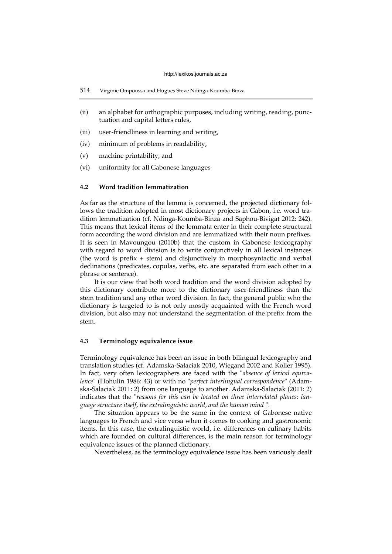- (ii) an alphabet for orthographic purposes, including writing, reading, punctuation and capital letters rules,
- (iii) user-friendliness in learning and writing,
- (iv) minimum of problems in readability,
- (v) machine printability, and
- (vi) uniformity for all Gabonese languages

# **4.2 Word tradition lemmatization**

As far as the structure of the lemma is concerned, the projected dictionary follows the tradition adopted in most dictionary projects in Gabon, i.e. word tradition lemmatization (cf. Ndinga-Koumba-Binza and Saphou-Bivigat 2012: 242). This means that lexical items of the lemmata enter in their complete structural form according the word division and are lemmatized with their noun prefixes. It is seen in Mavoungou (2010b) that the custom in Gabonese lexicography with regard to word division is to write conjunctively in all lexical instances (the word is prefix + stem) and disjunctively in morphosyntactic and verbal declinations (predicates, copulas, verbs, etc. are separated from each other in a phrase or sentence).

It is our view that both word tradition and the word division adopted by this dictionary contribute more to the dictionary user-friendliness than the stem tradition and any other word division. In fact, the general public who the dictionary is targeted to is not only mostly acquainted with the French word division, but also may not understand the segmentation of the prefix from the stem.

## **4.3 Terminology equivalence issue**

Terminology equivalence has been an issue in both bilingual lexicography and translation studies (cf. Adamska-Sałaciak 2010, Wiegand 2002 and Koller 1995). In fact, very often lexicographers are faced with the "*absence of lexical equivalence*" (Hohulin 1986: 43) or with no "*perfect interlingual correspondence*" (Adamska-Sałaciak 2011: 2) from one language to another. Adamska-Sałaciak (2011: 2) indicates that the "*reasons for this can be located on three interrelated planes: language structure itself, the extralinguistic world, and the human mind* ".

The situation appears to be the same in the context of Gabonese native languages to French and vice versa when it comes to cooking and gastronomic items. In this case, the extralinguistic world, i.e. differences on culinary habits which are founded on cultural differences, is the main reason for terminology equivalence issues of the planned dictionary.

Nevertheless, as the terminology equivalence issue has been variously dealt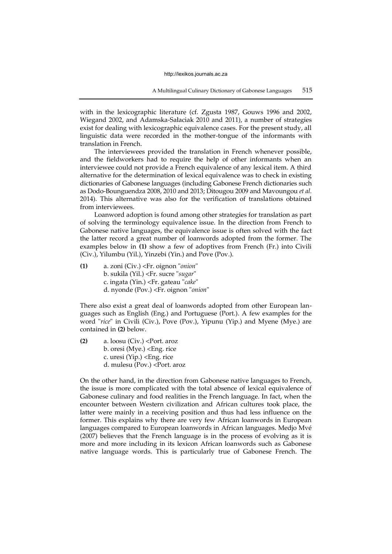with in the lexicographic literature (cf. Zgusta 1987, Gouws 1996 and 2002, Wiegand 2002, and Adamska-Sałaciak 2010 and 2011), a number of strategies exist for dealing with lexicographic equivalence cases. For the present study, all linguistic data were recorded in the mother-tongue of the informants with translation in French.

The interviewees provided the translation in French whenever possible, and the fieldworkers had to require the help of other informants when an interviewee could not provide a French equivalence of any lexical item. A third alternative for the determination of lexical equivalence was to check in existing dictionaries of Gabonese languages (including Gabonese French dictionaries such as Dodo-Bounguendza 2008, 2010 and 2013; Ditougou 2009 and Mavoungou *et al.* 2014). This alternative was also for the verification of translations obtained from interviewees.

Loanword adoption is found among other strategies for translation as part of solving the terminology equivalence issue. In the direction from French to Gabonese native languages, the equivalence issue is often solved with the fact the latter record a great number of loanwords adopted from the former. The examples below in **(1)** show a few of adoptives from French (Fr.) into Civili (Civ.), Yilumbu (Yil.), Yinzebi (Yin.) and Pove (Pov.).

**(1)** a. zoni (Civ.) <Fr. oignon "*onion*" b. sukila (Yil.) <Fr. sucre "*sugar*" c. ingata (Yin.) <Fr. gateau "*cake*" d. nyonde (Pov.) <Fr. oignon "*onion*"

There also exist a great deal of loanwords adopted from other European languages such as English (Eng.) and Portuguese (Port.). A few examples for the word "*rice*" in Civili (Civ.), Pove (Pov.), Yipunu (Yip.) and Myene (Mye.) are contained in **(2)** below.

**(2)** a. loosu (Civ.) <Port. aroz b. oresi (Mye.) <Eng. rice c. uresi (Yip.) <Eng. rice d. mulesu (Pov.) <Port. aroz

On the other hand, in the direction from Gabonese native languages to French, the issue is more complicated with the total absence of lexical equivalence of Gabonese culinary and food realities in the French language. In fact, when the encounter between Western civilization and African cultures took place, the latter were mainly in a receiving position and thus had less influence on the former. This explains why there are very few African loanwords in European languages compared to European loanwords in African languages. Medjo Mvé (2007) believes that the French language is in the process of evolving as it is more and more including in its lexicon African loanwords such as Gabonese native language words. This is particularly true of Gabonese French. The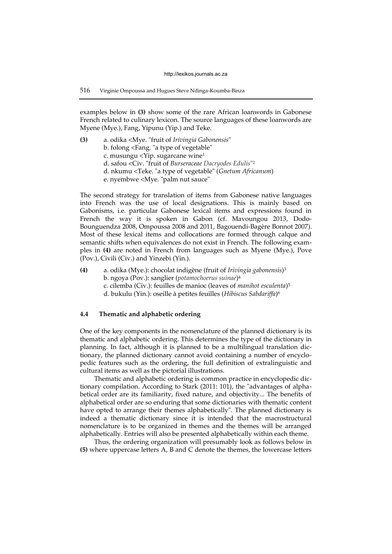examples below in **(3)** show some of the rare African loanwords in Gabonese French related to culinary lexicon. The source languages of these loanwords are Myene (Mye.), Fang, Yipunu (Yip.) and Teke.

**(3)** a. odika <Mye. "fruit of *Irivingia Gabonensis*" b. folong <Fang. "a type of vegetable" c. musungu <Yip. sugarcane wine<sup>1</sup> d. safou <Civ. "fruit of *Burseraceae Dacryodes Edulis*" 2 d. nkumu <Teke. "a type of vegetable" (*Gnetum Africanum*) e. nyembwe <Mye. "palm nut sauce"

The second strategy for translation of items from Gabonese native languages into French was the use of local designations. This is mainly based on Gabonisms, i.e. particular Gabonese lexical items and expressions found in French the way it is spoken in Gabon (cf. Mavoungou 2013, Dodo-Bounguendza 2008, Ompoussa 2008 and 2011, Bagouendi-Bagère Bonnot 2007). Most of these lexical items and collocations are formed through calque and semantic shifts when equivalences do not exist in French. The following examples in **(4)** are noted in French from languages such as Myene (Mye.), Pove (Pov.), Civili (Civ.) and Yinzebi (Yin.).

**(4)** a. odika (Mye.): chocolat indigène (fruit of *Irivingia gabonensis*) 3 b. ngoya (Pov.): sanglier (*potamochoerus suinae*) 4 c. cilemba (Civ.): feuilles de manioc (leaves of *manihot esculenta*) 5 d. bukulu (Yin.): oseille à petites feuilles (*Hibiscus Sabdariffa*) 6

# **4.4 Thematic and alphabetic ordering**

One of the key components in the nomenclature of the planned dictionary is its thematic and alphabetic ordering. This determines the type of the dictionary in planning. In fact, although it is planned to be a multilingual translation dictionary, the planned dictionary cannot avoid containing a number of encyclopedic features such as the ordering, the full definition of extralinguistic and cultural items as well as the pictorial illustrations.

Thematic and alphabetic ordering is common practice in encyclopedic dictionary compilation. According to Stark (2011: 101), the "advantages of alphabetical order are its familiarity, fixed nature, and objectivity... The benefits of alphabetical order are so enduring that some dictionaries with thematic content have opted to arrange their themes alphabetically". The planned dictionary is indeed a thematic dictionary since it is intended that the macrostructural nomenclature is to be organized in themes and the themes will be arranged alphabetically. Entries will also be presented alphabetically within each theme.

Thus, the ordering organization will presumably look as follows below in **(5)** where uppercase letters A, B and C denote the themes, the lowercase letters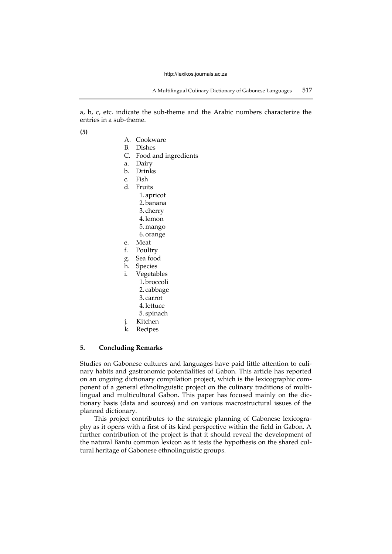a, b, c, etc. indicate the sub-theme and the Arabic numbers characterize the entries in a sub-theme.

**(5)**

- A. Cookware
- B. Dishes
- C. Food and ingredients
- a. Dairy
- b. Drinks
- c. Fish
- d. Fruits
	- 1. apricot 2. banana 3. cherry 4. lemon 5. mango 6. orange
- 
- e. Meat Poultry
- g. Sea food
- h. Species
- i. Vegetables
	- 1. broccoli
		- 2. cabbage
		- 3. carrot
		- 4. lettuce
	- 5. spinach
- j. Kitchen
- k. Recipes

## **5. Concluding Remarks**

Studies on Gabonese cultures and languages have paid little attention to culinary habits and gastronomic potentialities of Gabon. This article has reported on an ongoing dictionary compilation project, which is the lexicographic component of a general ethnolinguistic project on the culinary traditions of multilingual and multicultural Gabon. This paper has focused mainly on the dictionary basis (data and sources) and on various macrostructural issues of the planned dictionary.

This project contributes to the strategic planning of Gabonese lexicography as it opens with a first of its kind perspective within the field in Gabon. A further contribution of the project is that it should reveal the development of the natural Bantu common lexicon as it tests the hypothesis on the shared cultural heritage of Gabonese ethnolinguistic groups.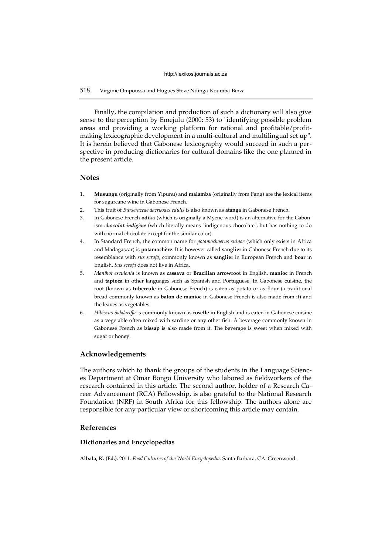# 518 Virginie Ompoussa and Hugues Steve Ndinga-Koumba-Binza

Finally, the compilation and production of such a dictionary will also give sense to the perception by Emejulu (2000: 53) to "identifying possible problem areas and providing a working platform for rational and profitable/profitmaking lexicographic development in a multi-cultural and multilingual set up". It is herein believed that Gabonese lexicography would succeed in such a perspective in producing dictionaries for cultural domains like the one planned in the present article.

# **Notes**

- 1. **Musungu** (originally from Yipunu) and **malamba** (originally from Fang) are the lexical items for sugarcane wine in Gabonese French.
- 2. This fruit of *Burseraceae dacryodes edulis* is also known as **atanga** in Gabonese French.
- 3. In Gabonese French **odika** (which is originally a Myene word) is an alternative for the Gabonism *chocolat indigène* (which literally means "indigenous chocolate", but has nothing to do with normal chocolate except for the similar color).
- 4. In Standard French, the common name for *potamochoerus suinae* (which only exists in Africa and Madagascar) is **potamochère**. It is however called **sanglier** in Gabonese French due to its resemblance with *sus scrofa*, commonly known as **sanglier** in European French and **boar** in English. *Sus scrofa* does not live in Africa.
- 5. *Manihot esculenta* is known as **cassava** or **Brazilian arrowroot** in English, **manioc** in French and **tapioca** in other languages such as Spanish and Portuguese. In Gabonese cuisine, the root (known as **tubercule** in Gabonese French) is eaten as potato or as flour (a traditional bread commonly known as **baton de manioc** in Gabonese French is also made from it) and the leaves as vegetables.
- 6. *Hibiscus Sabdariffa* is commonly known as **roselle** in English and is eaten in Gabonese cuisine as a vegetable often mixed with sardine or any other fish. A beverage commonly known in Gabonese French as **bissap** is also made from it. The beverage is sweet when mixed with sugar or honey.

# **Acknowledgements**

The authors which to thank the groups of the students in the Language Sciences Department at Omar Bongo University who labored as fieldworkers of the research contained in this article. The second author, holder of a Research Career Advancement (RCA) Fellowship, is also grateful to the National Research Foundation (NRF) in South Africa for this fellowship. The authors alone are responsible for any particular view or shortcoming this article may contain.

# **References**

## **Dictionaries and Encyclopedias**

**Albala, K. (Ed.).** 2011. *Food Cultures of the World Encyclopedia*. Santa Barbara, CA: Greenwood.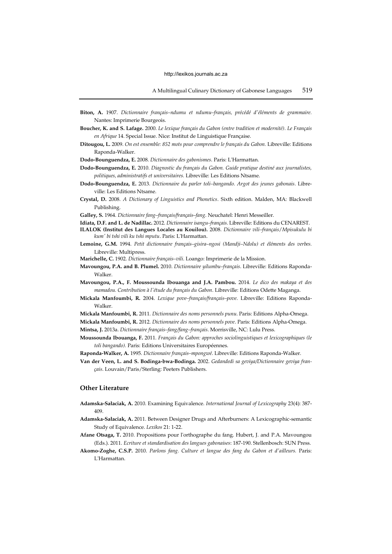- **Biton, A.** 1907. *Dictionnaire français–ndumu et ndumu–français, précédé d'éléments de grammaire.* Nantes: Imprimerie Bourgeois.
- **Boucher, K. and S. Lafage.** 2000. *Le lexique français du Gabon (entre tradition et modernité)*. *Le Français en Afrique* 14. Special Issue. Nice: Institut de Linguistique Française.
- **Ditougou, L.** 2009. *On est ensemble: 852 mots pour comprendre le français du Gabon.* Libreville: Editions Raponda-Walker.
- **Dodo-Bounguendza, E.** 2008. *Dictionnaire des gabonismes*. Paris: L'Harmattan.
- **Dodo-Bounguendza, E.** 2010. *Diagnostic du français du Gabon. Guide pratique destiné aux journalistes, politiques, administratifs et universitaires.* Libreville: Les Editions Ntsame.
- **Dodo-Bounguendza, E.** 2013. *Dictionnaire du parler toli–bangando. Argot des jeunes gabonais*. Libreville: Les Editions Ntsame.
- **Crystal, D.** 2008. *A Dictionary of Linguistics and Phonetics*. Sixth edition. Malden, MA: Blackwell Publishing.

**Galley, S.** 1964. *Dictionnaire fang–français/français–fang*. Neuchatel: Henri Messeiller.

- **Idiata, D.F. and L. de Nadillac.** 2012. *Dictionnaire isangu–français*. Libreville: Editions du CENAREST.
- **ILALOK (Institut des Langues Locales au Kouilou).** 2008. *Dictionnaire vili–français*/*Mpisukulu bi kum' bi tshi vili ku tshi mputu*. Paris: L'Harmattan.
- **Lemoine, G.M.** 1994. *Petit dictionnaire français–gisira–ngosi (Mandji–Ndolu) et éléments des verbes.* Libreville: Multipress.
- **Marichelle, C.** 1902. *Dictionnaire français–vili*. Loango: Imprimerie de la Mission.
- **Mavoungou, P.A. and B. Plumel.** 2010. *Dictionnaire yilumbu–français*. Libreville: Editions Raponda-Walker.
- **Mavoungou, P.A., F. Moussounda Ibouanga and J.A. Pambou.** 2014. *Le dico des makaya et des mamadou. Contribution à l'étude du français du Gabon*. Libreville: Editions Odette Maganga.
- **Mickala Manfoumbi, R.** 2004. *Lexique pove–français/français–pove*. Libreville: Editions Raponda-Walker.
- **Mickala Manfoumbi, R.** 2011. *Dictionnaire des noms personnels punu*. Paris: Editions Alpha-Omega.

**Mickala Manfoumbi, R.** 2012. *Dictionnaire des noms personnels pove*. Paris: Editions Alpha-Omega.

**Mintsa, J.** 2013a. *Dictionnaire français–fang/fang–français*. Morrisville, NC: Lulu Press.

- **Moussounda Ibouanga, F.** 2011. *Français du Gabon: approches sociolinguistiques et lexicographiques (le toli bangando).* Paris: Editions Universitaires Européennes.
- **Raponda-Walker, A.** 1995. *Dictionnaire français–mpongwé*. Libreville: Editions Raponda-Walker.
- **Van der Veen, L. and S. Bodinga-bwa-Bodinga.** 2002. *Gedandedi sa geviya/Dictionnaire geviya français*. Louvain/Paris/Sterling: Peeters Publishers.

## **Other Literature**

- **Adamska-Sałaciak, A.** 2010. Examining Equivalence. *International Journal of Lexicography* 23(4): 387- 409.
- **Adamska-Sałaciak, A.** 2011. Between Designer Drugs and Afterburners: A Lexicographic-semantic Study of Equivalence. *Lexikos* 21: 1-22.
- **Afane Otsaga, T.** 2010. Propositions pour l'orthographe du fang. Hubert, J. and P.A. Mavoungou (Eds.). 2011. *Ecriture et standardisation des langues gabonaises*: 187-190. Stellenbosch: SUN Press.
- **Akomo-Zoghe, C.S.P.** 2010. *Parlons fang. Culture et langue des fang du Gabon et d'ailleurs.* Paris: L'Harmattan.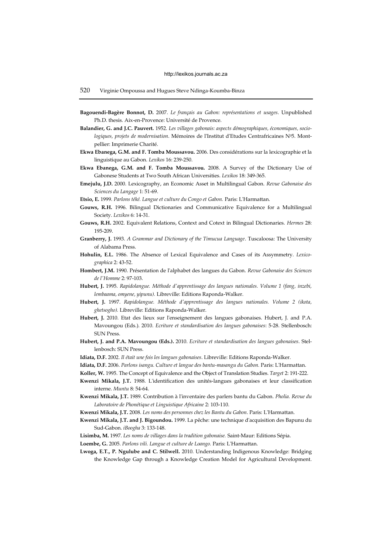- **Bagouendi-Bagère Bonnot, D.** 2007. *Le français au Gabon: représentations et usages*. Unpublished Ph.D. thesis. Aix-en-Provence: Université de Provence.
- **Balandier, G. and J.C. Pauvert.** 1952. *Les villages gabonais: aspects démographiques, économiques, socio*logiques, projets de modernisation. Mémoires de l'Institut d'Etudes Centrafricaines N<sup>0</sup>5. Montpellier: Imprimerie Charité.
- **Ekwa Ebanega, G.M. and F. Tomba Moussavou.** 2006. Des considérations sur la lexicographie et la linguistique au Gabon. *Lexikos* 16: 239-250.
- **Ekwa Ebanega, G.M. and F. Tomba Moussavou.** 2008. A Survey of the Dictionary Use of Gabonese Students at Two South African Universities. *Lexikos* 18: 349-365.
- **Emejulu, J.D.** 2000. Lexicography, an Economic Asset in Multilingual Gabon. *Revue Gabonaise des Sciences du Langage* 1: 51-69.
- **Etsio, E.** 1999. *Parlons téké. Langue et culture du Congo et Gabon.* Paris: L'Harmattan.
- **Gouws, R.H.** 1996. Bilingual Dictionaries and Communicative Equivalence for a Multilingual Society. *Lexikos* 6: 14-31.
- **Gouws, R.H.** 2002. Equivalent Relations, Context and Cotext in Bilingual Dictionaries. *Hermes* 28: 195-209.
- **Granberry, J.** 1993. *A Grammar and Dictionary of the Timucua Language*. Tuscaloosa: The University of Alabama Press.
- **Hohulin, E.L.** 1986. The Absence of Lexical Equivalence and Cases of its Assymmetry. *Lexicographica* 2: 43-52.
- **Hombert, J.M.** 1990. Présentation de l'alphabet des langues du Gabon. *Revue Gabonaise des Sciences de l'Homme* 2: 97-103.
- **Hubert, J.** 1995. *Rapidolangue. Méthode d'apprentissage des langues nationales. Volume 1 (fang, inzebi, lembaama, omyene, yipunu).* Libreville: Editions Raponda-Walker.
- **Hubert, J.** 1997. *Rapidolangue. Méthode d'apprentissage des langues nationales. Volume 2 (ikota, ghetsogho).* Libreville: Editions Raponda-Walker.
- **Hubert, J.** 2010. Etat des lieux sur l'enseignement des langues gabonaises. Hubert, J. and P.A. Mavoungou (Eds.). 2010. *Ecriture et standardisation des langues gabonaises*: 5-28. Stellenbosch: SUN Press.
- **Hubert, J. and P.A. Mavoungou (Eds.).** 2010. *Ecriture et standardisation des langues gabonaises*. Stellenbosch: SUN Press.
- **Idiata, D.F.** 2002. *Il était une fois les langues gabonaises*. Libreville: Editions Raponda-Walker.
- **Idiata, D.F.** 2006. *Parlons isangu. Culture et langue des bantu-masangu du Gabon.* Paris: L'Harmattan.
- **Koller, W.** 1995. The Concept of Equivalence and the Object of Translation Studies. *Target* 2: 191-222.
- **Kwenzi Mikala, J.T.** 1988. L'identification des unités-langues gabonaises et leur classification interne. *Muntu* 8: 54-64.
- **Kwenzi Mikala, J.T.** 1989. Contribution à l'inventaire des parlers bantu du Gabon. *Pholia. Revue du Laboratoire de Phonétique et Linguistique Africaine* 2: 103-110.
- **Kwenzi Mikala, J.T.** 2008. *Les noms des personnes chez les Bantu du Gabon*. Paris: L'Harmattan.
- **Kwenzi Mikala, J.T. and J. Bigoundou.** 1999. La pêche: une technique d'acquisition des Bapunu du Sud-Gabon. *iBoogha* 3: 133-148.
- **Lisimba, M.** 1997. *Les noms de villages dans la tradition gabonaise.* Saint-Maur: Editions Sépia.
- **Loembe, G.** 2005. *Parlons vili. Langue et culture de Loango.* Paris: L'Harmattan.
- **Lwoga, E.T., P. Ngulube and C. Stilwell.** 2010. Understanding Indigenous Knowledge: Bridging the Knowledge Gap through a Knowledge Creation Model for Agricultural Development.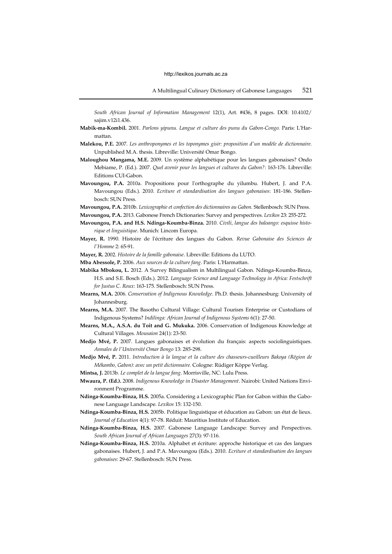*South African Journal of Information Management* 12(1), Art. #436, 8 pages. DOI: 10.4102/ sajim.v12i1.436.

- **Mabik-ma-Kombil.** 2001. *Parlons yipunu. Langue et culture des punu du Gabon-Congo.* Paris: L'Harmattan.
- **Malekou, P.E.** 2007. *Les anthroponymes et les toponymes gisir: proposition d'un modèle de dictionnaire.* Unpublished M.A. thesis. Libreville: Université Omar Bongo.
- **Maloughou Mangama, M.E.** 2009. Un système alphabétique pour les langues gabonaises? Ondo Mebiame, P. (Ed.). 2007. *Quel avenir pour les langues et cultures du Gabon?*: 163-176. Libreville: Editions CUI-Gabon.
- **Mavoungou, P.A.** 2010a. Propositions pour l'orthographe du yilumbu. Hubert, J. and P.A. Mavoungou (Eds.). 2010. *Ecriture et standardisation des langues gabonaises*: 181-186. Stellenbosch: SUN Press.
- **Mavoungou, P.A.** 2010b. *Lexicographie et confection des dictionnaires au Gabon.* Stellenbosch: SUN Press.
- **Mavoungou, P.A.** 2013. Gabonese French Dictionaries: Survey and perspectives. *Lexikos* 23: 255-272.
- **Mavoungou, P.A. and H.S. Ndinga-Koumba-Binza.** 2010. *Civili, langue des baloango: esquisse historique et linguistique*. Munich: Lincom Europa.
- **Mayer, R.** 1990. Histoire de l'écriture des langues du Gabon. *Revue Gabonaise des Sciences de l'Homme* 2: 65-91.
- **Mayer, R.** 2002. *Histoire de la famille gabonaise*. Libreville: Editions du LUTO.
- **Mba Abessole, P.** 2006. *Aux sources de la culture fang*. Paris: L'Harmattan.
- **Mabika Mbokou, L.** 2012. A Survey Bilingualism in Multilingual Gabon. Ndinga-Koumba-Binza, H.S. and S.E. Bosch (Eds.). 2012. *Language Science and Language Technology in Africa: Festschrift for Justus C. Roux*: 163-175. Stellenbosch: SUN Press.
- **Mearns, M.A.** 2006. *Conservation of Indigenous Knowledge*. Ph.D. thesis. Johannesburg: University of Johannesburg.
- **Mearns, M.A.** 2007. The Basotho Cultural Village: Cultural Tourism Enterprise or Custodians of Indigenous Systems? *Indilinga: African Journal of Indigenous Systems* 6(1): 27-50.
- **Mearns, M.A., A.S.A. du Toit and G. Mukuka.** 2006. Conservation of Indigenous Knowledge at Cultural Villages. *Mousaion* 24(1): 23-50.
- **Medjo Mvé, P.** 2007. Langues gabonaises et évolution du français: aspects sociolinguistiques. *Annales de l'Université Omar Bongo* 13: 285-298.
- **Medjo Mvé, P.** 2011. *Introduction à la langue et la culture des chasseurs-cueilleurs Bakoya (Région de Mékambo, Gabon): avec un petit dictionnaire.* Cologne: Rüdiger Köppe Verlag.
- **Mintsa, J.** 2013b. *Le complet de la langue fang*. Morrisville, NC: Lulu Press.
- **Mwaura, P. (Ed.).** 2008. *Indigenous Knowledge in Disaster Management*. Nairobi: United Nations Environment Programme.
- **Ndinga-Koumba-Binza, H.S.** 2005a. Considering a Lexicographic Plan for Gabon within the Gabonese Language Landscape. *Lexikos* 15: 132-150.
- **Ndinga-Koumba-Binza, H.S.** 2005b. Politique linguistique et éducation au Gabon: un état de lieux. *Journal of Education* 4(1): 97-78. Réduit: Mauritius Institute of Education.
- **Ndinga-Koumba-Binza, H.S.** 2007. Gabonese Language Landscape: Survey and Perspectives. *South African Journal of African Languages* 27(3): 97-116.
- **Ndinga-Koumba-Binza, H.S.** 2010a. Alphabet et écriture: approche historique et cas des langues gabonaises. Hubert, J. and P.A. Mavoungou (Eds.). 2010. *Ecriture et standardisation des langues gabonaises*: 29-67. Stellenbosch: SUN Press.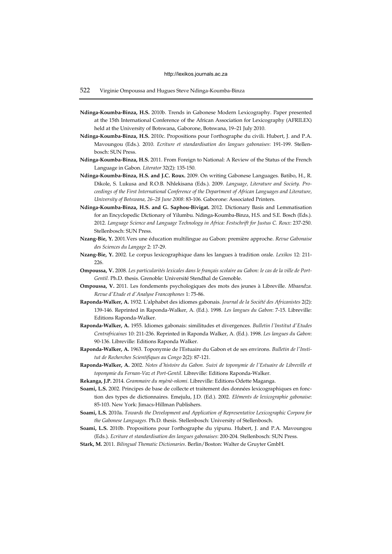## 522 Virginie Ompoussa and Hugues Steve Ndinga-Koumba-Binza

- **Ndinga-Koumba-Binza, H.S.** 2010b. Trends in Gabonese Modern Lexicography. Paper presented at the 15th International Conference of the African Association for Lexicography (AFRILEX) held at the University of Botswana, Gaborone, Botswana, 19–21 July 2010.
- **Ndinga-Koumba-Binza, H.S.** 2010c. Propositions pour l'orthographe du civili. Hubert, J. and P.A. Mavoungou (Eds.). 2010. *Ecriture et standardisation des langues gabonaises*: 191-199. Stellenbosch: SUN Press.
- **Ndinga-Koumba-Binza, H.S.** 2011. From Foreign to National: A Review of the Status of the French Language in Gabon. *Literator* 32(2): 135-150.
- **Ndinga-Koumba-Binza, H.S. and J.C. Roux.** 2009. On writing Gabonese Languages. Batibo, H., R. Dikole, S. Lukusa and R.O.B. Nhlekisana (Eds.). 2009. *Language, Literature and Society. Proceedings of the First International Conference of the Department of African Languages and Literature, University of Botswana, 26–28 June 2008*: 83-106. Gaborone: Associated Printers.
- **Ndinga-Koumba-Binza, H.S. and G. Saphou-Bivigat.** 2012. Dictionary Basis and Lemmatisation for an Encyclopedic Dictionary of Yilumbu. Ndinga-Koumba-Binza, H.S. and S.E. Bosch (Eds.). 2012. *Language Science and Language Technology in Africa: Festschrift for Justus C. Roux*: 237-250. Stellenbosch: SUN Press.
- **Nzang-Bie, Y.** 2001.Vers une éducation multilingue au Gabon: première approche. *Revue Gabonaise des Sciences du Langage* 2: 17-29.
- **Nzang-Bie, Y.** 2002. Le corpus lexicographique dans les langues à tradition orale. *Lexikos* 12: 211- 226.
- **Ompoussa, V.** 2008. *Les particularités lexicales dans le français scolaire au Gabon: le cas de la ville de Port-Gentil.* Ph.D. thesis. Grenoble: Université Stendhal de Grenoble.
- **Ompoussa, V.** 2011. Les fondements psychologiques des mots des jeunes à Libreville. *Mbaandza. Revue d'Etude et d'Analyse Francophones* 1: 75-86.
- **Raponda-Walker, A.** 1932. L'alphabet des idiomes gabonais. *Journal de la Société des Africanistes* 2(2): 139-146. Reprinted in Raponda-Walker, A. (Ed.). 1998. *Les langues du Gabon*: 7-15. Libreville: Editions Raponda-Walker.
- **Raponda-Walker, A.** 1955. Idiomes gabonais: similitudes et divergences. *Bulletin l'Institut d'Etudes Centrafricaines* 10: 211-236. Reprinted in Raponda Walker, A. (Ed.). 1998. *Les langues du Gabon*: 90-136. Libreville: Editions Raponda Walker.
- **Raponda-Walker, A.** 1963. Toponymie de l'Estuaire du Gabon et de ses environs. *Bulletin de l'Institut de Recherches Scientifiques au Congo* 2(2): 87-121.
- **Raponda-Walker, A.** 2002. *Notes d'histoire du Gabon. Suivi de toponymie de l'Estuaire de Libreville et toponymie du Fernan-Vaz et Port-Gentil.* Libreville: Editions Raponda-Walker.
- **Rekanga, J.P.** 2014. *Grammaire du myènè-nkomi*. Libreville: Editions Odette Maganga.
- **Soami, L.S.** 2002. Principes de base de collecte et traitement des données lexicographiques en fonction des types de dictionnaires. Emejulu, J.D. (Ed.). 2002. *Eléments de lexicographie gabonaise*: 85-103. New York: Jimacs-Hillman Publishers.
- **Soami, L.S.** 2010a. *Towards the Development and Application of Representative Lexicographic Corpora for the Gabonese Languages.* Ph.D. thesis. Stellenbosch: University of Stellenbosch.
- **Soami, L.S.** 2010b. Propositions pour l'orthographe du yipunu. Hubert, J. and P.A. Mavoungou (Eds.). *Ecriture et standardisation des langues gabonaises*: 200-204. Stellenbosch: SUN Press.
- **Stark, M.** 2011. *Bilingual Thematic Dictionaries*. Berlin/Boston: Walter de Gruyter GmbH.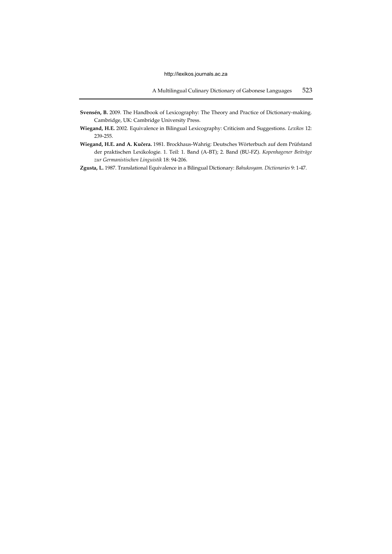- **Svensén, B.** 2009. The Handbook of Lexicography: The Theory and Practice of Dictionary-making. Cambridge, UK: Cambridge University Press.
- **Wiegand, H.E.** 2002. Equivalence in Bilingual Lexicography: Criticism and Suggestions. *Lexikos* 12: 239-255.
- **Wiegand, H.E. and A. Kučera.** 1981. Brockhaus-Wahrig: Deutsches Wörterbuch auf dem Prüfstand der praktischen Lexikologie. 1. Teil: 1. Band (A-BT); 2. Band (BU-FZ). *Kopenhagener Beiträge zur Germanistischen Linguistik* 18: 94-206.
- **Zgusta, L.** 1987. Translational Equivalence in a Bilingual Dictionary: *Bahukosyam*. *Dictionaries* 9: 1-47.